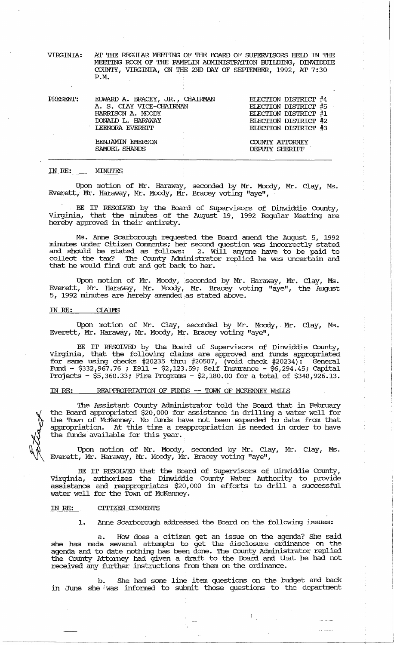VIRGINIA: AT THE REGUIAR MEETING OF THE BOARD OF SUPERVISORS HEID IN THE MEETING ROOM OF THE PAMPLIN ADMINISTRATION BUIIDING, DINWIDDIE COUNTY, VIRGINIA, ON THE 2ND DAY OF SEPTEMBER, 1992, AT 7:30 P.M.

PRESENT: EDWARD A. BRACEY, JR., CHAIRMAN A. S. CIAY VICE-cHAIRMAN HARRISON A. MOODY ElEcrION DISTRIcr #4 ElEcrION DISTRIcr #5 ElEcrION DISTRIcr #1 ElEcrION DISTRIcr #2 EIEcrION DISTRIcr #3 DONAID L. HARAWAY IEENORA EVEREIT BENJAMIN EMERSON SAMUEL SHANDS COUNTY ATTORNEY DEPUTY SHERIFF

#### IN *RE: MINUTES*

. Upon motion of Mr. Haraway, seconded by Mr. Moody, Mr. Clay, Ms. Everett, Mr. Haraway, Mr. Moody, Mr. Bracey voting "aye",

BE IT RESOLVED by the Board of Supervisors of Dinwiddie County, Virginia, that the minutes of the August 19, 1992 Regular Meeting are hereby approved in their entirety.

Ms. Anne Scarborough requested the Board amend the August 5, 1992 minutes under Citizen Comments; her second question was incorrectly stated and should be stated as follows: 2. Will anyone have to be paid to collect the tax? The County Administrator replied he was uncertain and that he would find out and get back to her.

Upon motion of Mr. Moody, seconded by Mr. Haraway, Mr. Clay, Ms. Everett, Mr. Haraway, Mr. Moody, Mr. Bracey voting "aye", the August 5, 1992 minutes are hereby amended as stated above.

#### IN *RE:* CIAIMS

Upon motion of Mr. Clay, seconded by Mr. Moody,. Mr. Clay, Ms. Everett, Mr. Haraway, Mr. Moody, Mr. Bracey voting "aye",

BE IT RESOLVED by the Board of Supervisors of Dinwiddie County, Virginia, that the following claims are approved and funds appropriated for same using checks  $#20235$  thru  $#20507,$  (void check  $#20234$ ): General Fund - \$332,967.76 ; E911 - \$2,123.59; Self Insurance - \$6,294.45; capital Projects - \$5,360.33; Fire Programs - \$2,180.00 for a total of \$348,926.13.

# IN RE: REAPPROPRIATION OF FUNDS -- TOWN OF MCKENNEY WELLS

The Assistant County Administrator told the Board that in February the Board appropriated \$20,000 for assistance in drilling a water well for the Town of McKenney. No. funds have not been expended to date from that appropriation. At this time a reappropriation is needed in order to have the funds available for this year.

Upon motion of Mr. Moody, seconded by Mr. Clay, Mr. Clay, Ms. Everett, Mr. Haraway, Mr. Moody, Mr. Bracey voting "aye",

BE IT RESOLVED that the Board of Supervisors of Dinwiddie County, Virginia, authorizes the Dinwiddie County Water Authority to provide assistance and reappropriates \$20,000 in efforts to drill a successful water well for the Town of McKenney.

### IN RE: CITIZEN COMMENTS

1. Anne Scarborough addressed the Board on the following issues:

a. How does a citizen get an issue on the agenda? She said she has made several attempts to get the disclosure ordinance on the agenda and to date nothing has been done. The County Administrator replied the County Attorney had given a draft to the Board and that he had not received any. further instructions from them on the ordinance.

b. She had some line item questions on the budget and back in June she' was infonned to submit those questions to the deparbnent

ر<br>سندر البار البندر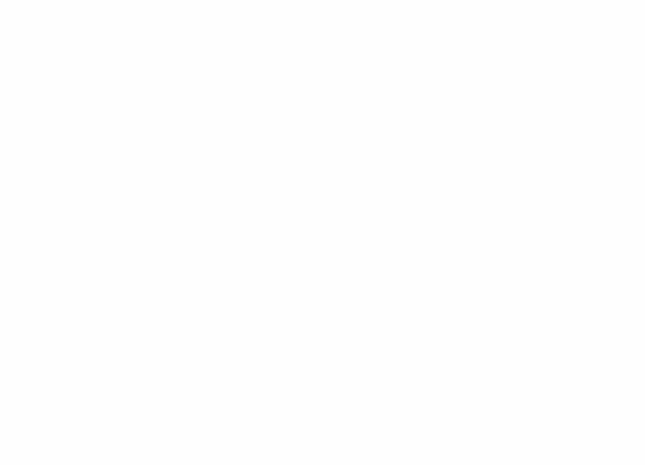$\mathcal{L}(\mathcal{L}(\mathcal{L}))$  and  $\mathcal{L}(\mathcal{L}(\mathcal{L}))$  . The contribution of the contribution of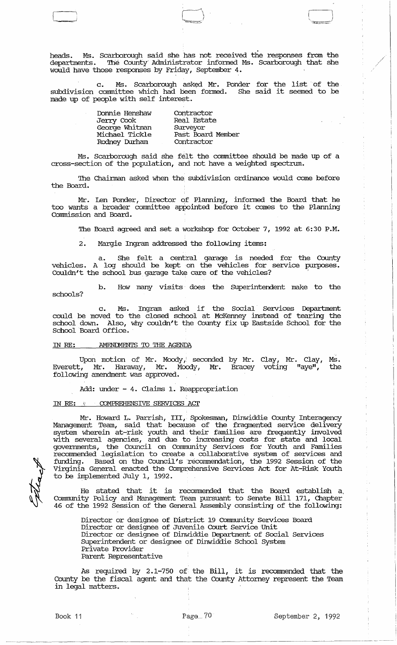heads. Ms. Scarborough said she has not received the responses from the departments. The County Administrator informed Ms. Scarborough that she would have those responses by Friday, September 4.

 $\Box$   $\Box$ 

 $\boxed{\phantom{1}}$ 

c. Ms. Scarborough asked Mr. Ponder for the list of the subdivision connnittee 'Which had Deen fonned. She said it seemed to be made up of people with self interest.

| Donnie Henshaw | Contractor        |
|----------------|-------------------|
| Jerry Cook     | Real Estate       |
| George Whitman | Surveyor          |
| Michael Tickle | Past Board Member |
| Rodney Durham  | Contractor        |

Ms. Scarborough said she felt the connnittee should be made up of a cross-section of the population, and not have a weighted spectrum.

The Chairman asked when the subdivision ordinance would come before the Board.

Mr. Len Ponder, Director of Planning, infonned the Board that he too wants a broader committee appointed before it comes to the Planning connnission and Board.

The Board agreed and set a workshop for October 7, 1992 at 6:30 P.M.

2. Margie Ingram addressed the following items:

a. She felt a central garage is needed for the County vehicles. A log should be kept on the vehicles for service purposes. Couldn't the school bus garage take care of the vehicles?

b. How many visits does the Superintendent make to the schools?

c. Ms. Ingram asked if the Social Services Department could be moved to the closed school at McKenney instead of tearing the school down. Also, why couldn't the County fix up Eastside School for the School Board Office.

### IN RE: AMENDMENTS TO THE AGENDA

\-, -- .~

Upon motion of Mr. Moody, seconded by Mr. Clay, Mr. Clay, Ms. Everett, Mr. Haraway, Mr. Moody, Mr. Bracey voting "aye", the following amendment was approved.

Add: under - 4. Claims 1. Reappropriation

IN RE: *K* COMPREHENSIVE SERVICES ACT

Mr. Howard L. Parrish, III, Spokesman, Dinwiddie County Interagency Management Team, said that because of the fragmented service delivery system 'Wherein at-risk youth and, their families are frequently involved with several agencies, and due to increasing costs for state and local governments, the Council on connnunity services for Youth and Families recommended .legislation to create a collaborative system of services and funding. Based on the Council's recommendation, the 1992 Session of the Virginia General enacted the Comprehensive Services Act for At-Risk Youth to be implemented July I, 1992.

He stated that it is recommended that the Board establish a, connmmity Policy and Management Team pursuant to senate Bill 171, Chapter 46 of the 1992 Session of the General Assembly consisting of the following:

Director or designee of District 19 Community Services Board Director or designee of Juvenile Court service unit Director or designee of Dinwiddie Department of Social Services Superintendent or designee of Dinwiddie School system Private Provider Parent Representative

As required by 2.1–750 of the Bill, it is recommended that the County be the fiscal agent and that the County Attorney represent the Team in legal matters.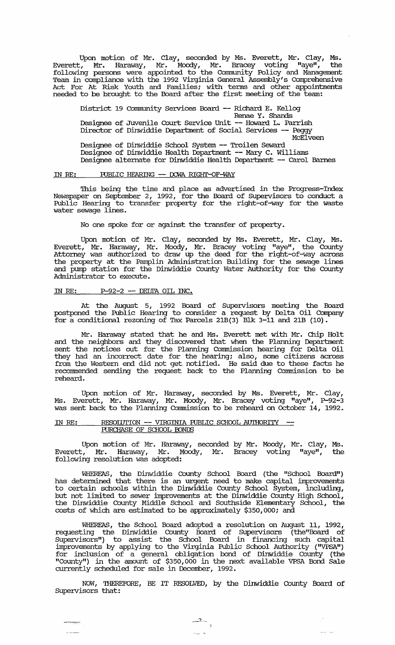Upon motion of Mr. Clay, seconded by Ms. Everett, Mr. Clay, Ms. Everett, Mr. Haraway, Mr. Moody, Mr. Bracey voting "aye", the following persons were appointed to the community Policy and Management Team in compliance with the 1992 Virginia General Assembly's Comprehensive Act For At Risk Youth and Families; with terms and other appointments needed to be brought to the Board after the first meeting of the team:

District 19 Connnunity Services Board -- Richard E. Kellog Renae Y. Shands Designee of Juvenile Court Service Unit -- Howard L. Parrish Director of Dinwiddie Deparbnent of Social services -- Peggy McFlveen Designee of Dinwiddie School system -- Troilen Seward Designee of Dinwiddie Health Department -- Mary C. Williams Designee alternate for Dinwiddie Health Department -- Carol Barnes

#### IN *RE:*  PUBLIC HEARING -- DOWA RIGHT-OF-WAY

This being the time and place as advertised in the Progress-Index Newspaper on September 2, 1992, for the Board of SUpervisors to conduct a Public Hearing to transfer property for the right-of-way for the waste water sewage lines.

No one spoke for or against the transfer of property.

Upon motion of Mr. Clay, seconded by Ms. Everett, Mr. Clay, Ms. Everett, Mr. Haraway, Mr. Moody, Mr. Bracey voting "aye", the County Attorney was authorized to draw up the deed for the right-of-way across the property at the Pamplin Administration Building for the sewage lines and pump station for the Dinwiddie County Water Authority for the County Administrator to execute.

# IN *RE:* P-92-2 -- DELTA OIL INC.

At the August 5, 1992 Board of Supervisors meeting the Board postponed the Public Hearing to consider a request by Delta Oil Company for a conditional rezoning of Tax Parcels 21B(3) Blk 3-11 and 21B (10).

Mr. Haraway stated that he and Ms. Everett met with Mr. Chip Holt and the neighbors and they discovered that when the Planning Department sent the notices out for the Planning Commission hearing for Delta Oil they had an incorrect date for the hearing; also, some citizens across from the Western end did not get notified. He said due to these facts he recommended sending the request back to the Planning Comnission to be reheard.

Upon motion of Mr. Haraway, seconded by Ms. Everett, Mr. Clay, Ms. Everett, Mr. Haraway, Mr. Moody, Mr. Bracey voting "aye", P-92-3 was sent back to the Planning Comnission to be reheard on october 14, 1992.

# IN *RE:* RESOIDTION -- VIRGINIA PUBLIC SCHOOL AUIHORITY PURCHASE OF SCHOOL BONDS

Upon motion of Mr. Haraway, seconded by Mr. Moody, Mr. Clay, Ms. Everett, Mr. Haraway, Mr. Moody, Mr. Bracey voting "aye", the following resolution was adopted:

WHEREAS, the Dinwiddie County School Board (the "School Board") has determined that there is an urgent need to make capital improvements to certain schools within the Dinwiddie County School System, including, but not limited to sewer improvements at the Dinwiddie County High School, the Dinwiddie County Middle School and Southside Elementary School, the costs of 'Which are estimated to be approximately \$350,000; and

WHEREAS, the School Board adopted a resolution on August 11, 1992, requesting the Dinwiddie County Board of SUpervisors (the"Board of Supervisors") to assist the School Board in financing such capital improvements by applying to the Virginia Public School Authority ("VPSA") for inclusion of a general obligation bond of Dinwiddie County (the "County") in the amount of \$350,000 in the next available VPSA Bond Sale currently scheduled for sale in December, 1992.

NOW, *THEREFORE,* BE IT RESOLVED, by the Dinwiddie County Board of Supervisors that:

 $\mathbf{r}$ 

 $\label{eq:1} \frac{1}{2} \left( \frac{1}{2} \right) \left( \frac{1}{2} \right) \left( \frac{1}{2} \right) = \frac{1}{2} \left( \frac{1}{2} \right)$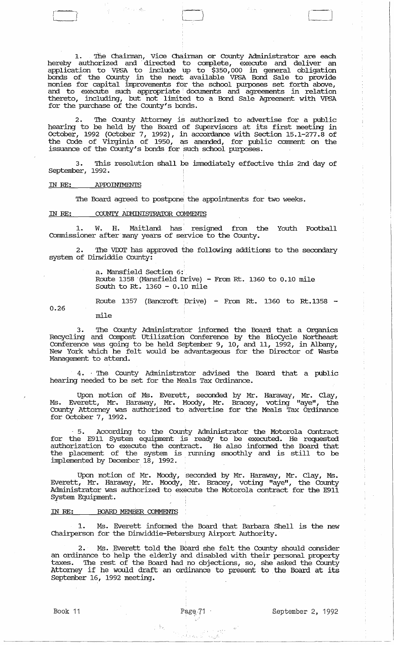1. The Chainnan, Vice Chairman or County Administrator are each hereby authorized and directed to complete, execute and deliver an application to VPSA to include up to \$350,000 in general obligation bonds of the County in the next available VPSA Bond Sale to provide monies for capital improvements for the school purposes set forth above, and to execute such appropriate documents and agreements in relation thereto, including, but not limited to a Bond Sale Agreement with VPSA for the purchase of the County's bonds.

The County Attorney is authorized to advertise for a public hearing to be held by the Board of Supervisors at its first meeting in October, 1992 (October 7, 1992), in accordance with Section 15.1-277.8 of the Code of Virginia of 1950, as amended, for public comment on the issuance of the County's bonds for such school purposes. ,

3. This resolution shall be immediately effective this 2nd day of September, 1992.

#### IN RE: APIDIN'IMENTS

The Board agreed to postpone the appointments for two weeks.

# IN RE: COUNTY ADMINISTRATOR COMMENTS

r---- <sup>L</sup>j' , 1 j~ \_\_ -

1. W. H. Maitland has resigned from the Youth Football Commissioner after many years of service to the County.

2. The VDOT has approved the following additions to the secondary system of Dinwiddie County:

> a. Mansfield Section 6: Route 1358 '(Mansfield Drive) - From Rt. 1360 to 0.10 mile South to Rt.  $1360 - 0.10$  mile

0.26

Route 1357 (Bancroft Drive) - From Rt. 1360 to Rt. 1358 -

mile

3. The County Administrator infonned the Board that a organics Recycling and Compost utilization Conference by the BioCycle Northeast Conference was going to be held September 9, 10, and 11, 1992, in Albany, New York which he felt would be advantageous for the Director of Waste Management to attend.

4. . The County Administrator advised the Board that a public hearing needed to be set for the Meals Tax Ordinance.

Upon motion of Ms. Everett, seconded by Mr. Haraway, Mr. Clay, Ms. Everett, Mr. Haraway, Mr. Moody, Mr. Bracey, voting "aye", the County Attorney was authorized to advertise for the Meals Tax Ordinance for October 7, 1992.

- 5. According to the County Administrator the Motorola Contract for the E911 System equipment is ready to be executed. He requested authorization to execute the contract. He also informed the Board that the placement of the system is running smoothly and is still to be implemented by December 18, 1992.

Upon motion of Mr. Moody, seconded by Mr. Haraway, Mr. Clay, Ms. Everett, Mr. Haraway, Mr. Moody,. Mr. Bracey, voting "aye", the County Administrator was authorized to execute the Motorola contract for the E911 System Equipment.

# IN RE: BOARD MEMBER COMMENTS

1. Ms. Everett infonned the Board that Barbara Shell is the new Chairperson for the Dinwiddie-Petersburg Airport Authority.

2. Ms. Everett told the Board she felt the County should consider an ordinance to help the elderly and disabled with their personal property taxes. The rest of the Board had. no objections, so, she asked the County cakes. The rest of the Board had no objections, so, she asked the County<br>Attorney if he would draft an ordinance to present to the Board at its September 16, 1992 meeting.

 $\left\langle \left\langle \hat{A}\right\rangle _{2}\right\rangle _{1}\left\langle \hat{\alpha}_{\text{eff}}\right\rangle _{2}^{1}\left\langle \hat{\beta}\right\rangle ^{2}$ 

 $\lesssim 3\%$